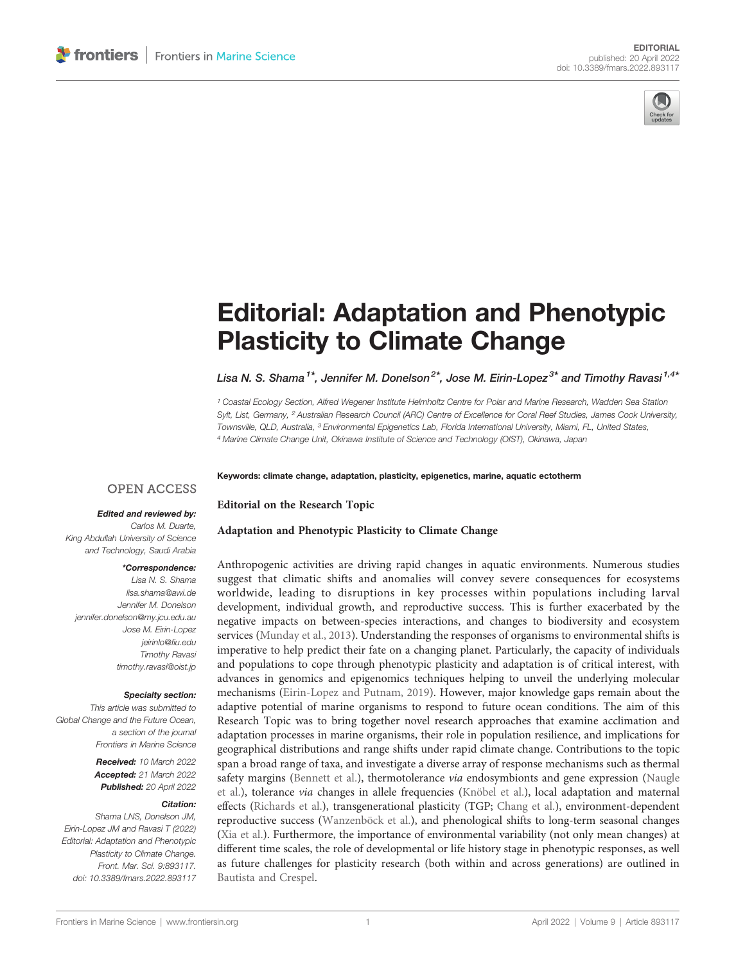

# [Editorial: Adaptation and Phenotypic](https://www.frontiersin.org/articles/10.3389/fmars.2022.893117/full) [Plasticity to Climate Change](https://www.frontiersin.org/articles/10.3389/fmars.2022.893117/full)

## Lisa N. S. Shama<sup>1\*</sup>, Jennifer M. Donelson<sup>2\*</sup>, Jose M. Eirin-Lopez<sup>3\*</sup> and Timothy Ravasi<sup>1,4\*</sup>

<sup>1</sup> Coastal Ecology Section, Alfred Wegener Institute Helmholtz Centre for Polar and Marine Research, Wadden Sea Station Sylt, List, Germany, <sup>2</sup> Australian Research Council (ARC) Centre of Excellence for Coral Reef Studies, James Cook University, Townsville, QLD, Australia, <sup>3</sup> Environmental Epigenetics Lab, Florida International University, Miami, FL, United States, <sup>4</sup> Marine Climate Change Unit, Okinawa Institute of Science and Technology (OIST), Okinawa, Japan

#### Keywords: climate change, adaptation, plasticity, epigenetics, marine, aquatic ectotherm

## **OPEN ACCESS**

### Edited and reviewed by:

Carlos M. Duarte, King Abdullah University of Science and Technology, Saudi Arabia

#### \*Correspondence:

Lisa N. S. Shama [lisa.shama@awi.de](mailto:lisa.shama@awi.de) Jennifer M. Donelson [jennifer.donelson@my.jcu.edu.au](mailto:jennifer.donelson@my.jcu.edu.au) Jose M. Eirin-Lopez [jeirinlo@](mailto:jeirinlo@fiu.edu)fiu.edu Timothy Ravasi [timothy.ravasi@oist.jp](mailto:timothy.ravasi@oist.jp)

#### Specialty section:

This article was submitted to Global Change and the Future Ocean, a section of the journal Frontiers in Marine Science

> Received: 10 March 2022 Accepted: 21 March 2022 Published: 20 April 2022

#### Citation:

Shama LNS, Donelson JM, Eirin-Lopez JM and Ravasi T (2022) Editorial: Adaptation and Phenotypic Plasticity to Climate Change. Front. Mar. Sci. 9:893117. [doi: 10.3389/fmars.2022.893117](https://doi.org/10.3389/fmars.2022.893117)

Editorial on the Research Topic

## [Adaptation and Phenotypic Plasticity to Climate Change](https://www.frontiersin.org/research-topics/15256/adaptation-and-phenotypic-plasticity-to-climate-change)

Anthropogenic activities are driving rapid changes in aquatic environments. Numerous studies suggest that climatic shifts and anomalies will convey severe consequences for ecosystems worldwide, leading to disruptions in key processes within populations including larval development, individual growth, and reproductive success. This is further exacerbated by the negative impacts on between-species interactions, and changes to biodiversity and ecosystem services [\(Munday et al., 2013](#page-2-0)). Understanding the responses of organisms to environmental shifts is imperative to help predict their fate on a changing planet. Particularly, the capacity of individuals and populations to cope through phenotypic plasticity and adaptation is of critical interest, with advances in genomics and epigenomics techniques helping to unveil the underlying molecular mechanisms [\(Eirin-Lopez and Putnam, 2019\)](#page-2-0). However, major knowledge gaps remain about the adaptive potential of marine organisms to respond to future ocean conditions. The aim of this Research Topic was to bring together novel research approaches that examine acclimation and adaptation processes in marine organisms, their role in population resilience, and implications for geographical distributions and range shifts under rapid climate change. Contributions to the topic span a broad range of taxa, and investigate a diverse array of response mechanisms such as thermal safety margins ([Bennett et al.\)](https://doi.org/10.3389/fmars.2022.733315), thermotolerance *via* endosymbionts and gene expression [\(Naugle](https://doi.org/10.3389/fmars.2021.760891) [et al.\)](https://doi.org/10.3389/fmars.2021.760891), tolerance via changes in allele frequencies [\(Knöbel et al.](https://doi.org/10.3389/fmars.2021.692078)), local adaptation and maternal effects [\(Richards et al.\)](https://doi.org/10.3389/fmars.2021.756683), transgenerational plasticity (TGP; [Chang et al.](https://doi.org/10.3389/fmars.2021.734318)), environment-dependent reproductive success ([Wanzenböck et al.](https://doi.org/10.3389/fmars.2022.759450)), and phenological shifts to long-term seasonal changes [\(Xia et al.\)](https://doi.org/10.3389/fmars.2021.708109). Furthermore, the importance of environmental variability (not only mean changes) at different time scales, the role of developmental or life history stage in phenotypic responses, as well as future challenges for plasticity research (both within and across generations) are outlined in [Bautista and Crespel.](https://doi.org/10.3389/fmars.2021.729194)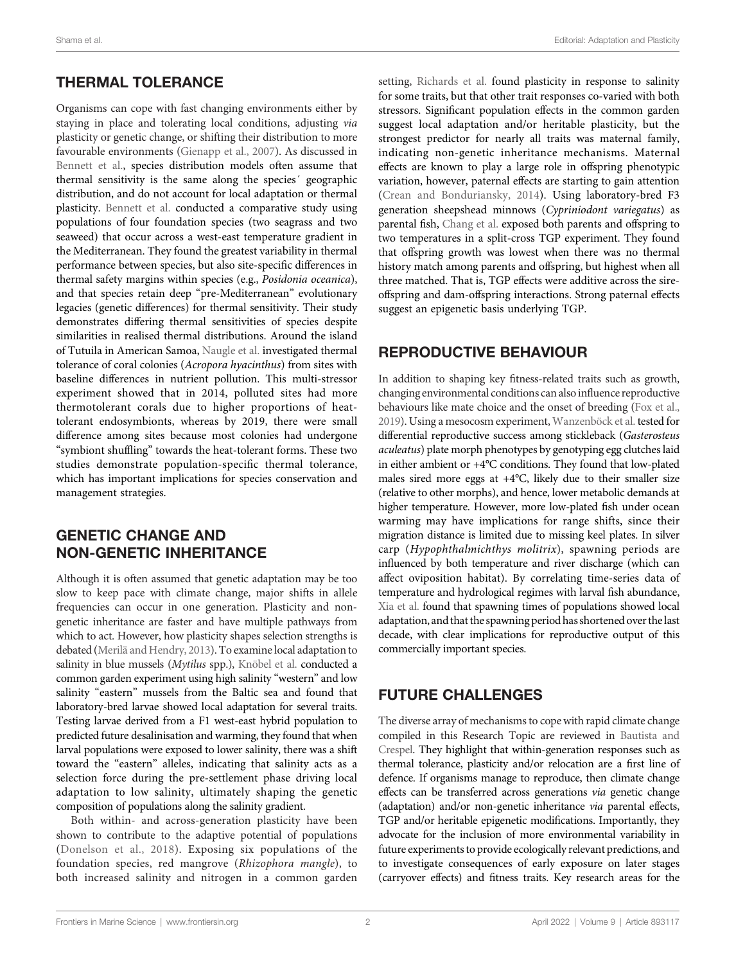# THERMAL TOLERANCE

Organisms can cope with fast changing environments either by staying in place and tolerating local conditions, adjusting via plasticity or genetic change, or shifting their distribution to more favourable environments [\(Gienapp et al., 2007](#page-2-0)). As discussed in [Bennett et al.](https://doi.org/10.3389/fmars.2022.733315), species distribution models often assume that thermal sensitivity is the same along the species´ geographic distribution, and do not account for local adaptation or thermal plasticity. [Bennett et al.](https://doi.org/10.3389/fmars.2022.733315) conducted a comparative study using populations of four foundation species (two seagrass and two seaweed) that occur across a west-east temperature gradient in the Mediterranean. They found the greatest variability in thermal performance between species, but also site-specific differences in thermal safety margins within species (e.g., Posidonia oceanica), and that species retain deep "pre-Mediterranean" evolutionary legacies (genetic differences) for thermal sensitivity. Their study demonstrates differing thermal sensitivities of species despite similarities in realised thermal distributions. Around the island of Tutuila in American Samoa, [Naugle et al.](https://doi.org/10.3389/fmars.2021.760891) investigated thermal tolerance of coral colonies (Acropora hyacinthus) from sites with baseline differences in nutrient pollution. This multi-stressor experiment showed that in 2014, polluted sites had more thermotolerant corals due to higher proportions of heattolerant endosymbionts, whereas by 2019, there were small difference among sites because most colonies had undergone "symbiont shuffling" towards the heat-tolerant forms. These two studies demonstrate population-specific thermal tolerance, which has important implications for species conservation and management strategies.

# GENETIC CHANGE AND NON-GENETIC INHERITANCE

Although it is often assumed that genetic adaptation may be too slow to keep pace with climate change, major shifts in allele frequencies can occur in one generation. Plasticity and nongenetic inheritance are faster and have multiple pathways from which to act. However, how plasticity shapes selection strengths is debated [\(Merilä and Hendry, 2013](#page-2-0)). To examine local adaptation to salinity in blue mussels (*Mytilus spp.*), [Knöbel et al.](https://doi.org/10.3389/fmars.2021.692078) conducted a common garden experiment using high salinity "western" and low salinity "eastern" mussels from the Baltic sea and found that laboratory-bred larvae showed local adaptation for several traits. Testing larvae derived from a F1 west-east hybrid population to predicted future desalinisation and warming, they found that when larval populations were exposed to lower salinity, there was a shift toward the "eastern" alleles, indicating that salinity acts as a selection force during the pre-settlement phase driving local adaptation to low salinity, ultimately shaping the genetic composition of populations along the salinity gradient.

Both within- and across-generation plasticity have been shown to contribute to the adaptive potential of populations ([Donelson et al., 2018](#page-2-0)). Exposing six populations of the foundation species, red mangrove (Rhizophora mangle), to both increased salinity and nitrogen in a common garden setting, [Richards et al.](https://doi.org/10.3389/fmars.2021.756683) found plasticity in response to salinity for some traits, but that other trait responses co-varied with both stressors. Significant population effects in the common garden suggest local adaptation and/or heritable plasticity, but the strongest predictor for nearly all traits was maternal family, indicating non-genetic inheritance mechanisms. Maternal effects are known to play a large role in offspring phenotypic variation, however, paternal effects are starting to gain attention [\(Crean and Bonduriansky, 2014\)](#page-2-0). Using laboratory-bred F3 generation sheepshead minnows (Cypriniodont variegatus) as parental fish, [Chang et al.](https://doi.org/10.3389/fmars.2021.734318) exposed both parents and offspring to two temperatures in a split-cross TGP experiment. They found that offspring growth was lowest when there was no thermal history match among parents and offspring, but highest when all three matched. That is, TGP effects were additive across the sireoffspring and dam-offspring interactions. Strong paternal effects suggest an epigenetic basis underlying TGP.

# REPRODUCTIVE BEHAVIOUR

In addition to shaping key fitness-related traits such as growth, changing environmental conditions can also influence reproductive behaviours like mate choice and the onset of breeding ([Fox et al.,](#page-2-0) [2019\)](#page-2-0). Using a mesocosm experiment, [Wanzenböck et al.](https://doi.org/10.3389/fmars.2022.759450) tested for differential reproductive success among stickleback (Gasterosteus aculeatus) plate morph phenotypes by genotyping egg clutches laid in either ambient or +4°C conditions. They found that low-plated males sired more eggs at +4°C, likely due to their smaller size (relative to other morphs), and hence, lower metabolic demands at higher temperature. However, more low-plated fish under ocean warming may have implications for range shifts, since their migration distance is limited due to missing keel plates. In silver carp (Hypophthalmichthys molitrix), spawning periods are influenced by both temperature and river discharge (which can affect oviposition habitat). By correlating time-series data of temperature and hydrological regimes with larval fish abundance, [Xia et al.](https://doi.org/10.3389/fmars.2021.708109) found that spawning times of populations showed local adaptation, and that the spawning period has shortened over the last decade, with clear implications for reproductive output of this commercially important species.

# FUTURE CHALLENGES

The diverse array of mechanisms to cope with rapid climate change compiled in this Research Topic are reviewed in [Bautista and](https://doi.org/10.3389/fmars.2021.729194) [Crespel.](https://doi.org/10.3389/fmars.2021.729194) They highlight that within-generation responses such as thermal tolerance, plasticity and/or relocation are a first line of defence. If organisms manage to reproduce, then climate change effects can be transferred across generations via genetic change (adaptation) and/or non-genetic inheritance via parental effects, TGP and/or heritable epigenetic modifications. Importantly, they advocate for the inclusion of more environmental variability in future experiments to provide ecologically relevant predictions, and to investigate consequences of early exposure on later stages (carryover effects) and fitness traits. Key research areas for the